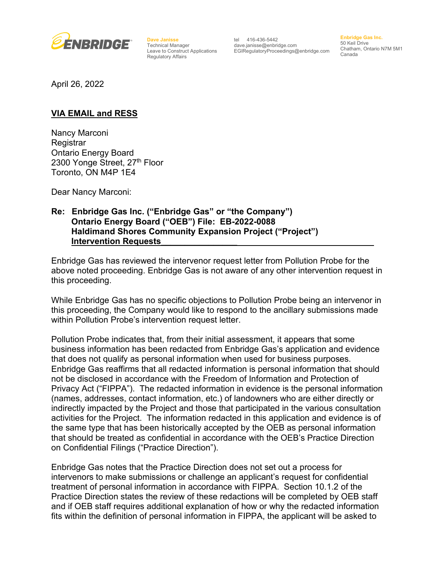

**Dave Janisse** Technical Manager Leave to Construct Applications Regulatory Affairs

tel 416-436-5442 dave.janisse@enbridge.com EGIRegulatoryProceedings@enbridge.com **Enbridge Gas Inc.** 50 Keil Drive Chatham, Ontario N7M 5M1 Canada

April 26, 2022

## **VIA EMAIL and RESS**

Nancy Marconi Registrar Ontario Energy Board 2300 Yonge Street, 27<sup>th</sup> Floor Toronto, ON M4P 1E4

Dear Nancy Marconi:

## **Re: Enbridge Gas Inc. ("Enbridge Gas" or "the Company") Ontario Energy Board ("OEB") File: EB-2022-0088 Haldimand Shores Community Expansion Project ("Project") Intervention Requests**

Enbridge Gas has reviewed the intervenor request letter from Pollution Probe for the above noted proceeding. Enbridge Gas is not aware of any other intervention request in this proceeding.

While Enbridge Gas has no specific objections to Pollution Probe being an intervenor in this proceeding, the Company would like to respond to the ancillary submissions made within Pollution Probe's intervention request letter.

Pollution Probe indicates that, from their initial assessment, it appears that some business information has been redacted from Enbridge Gas's application and evidence that does not qualify as personal information when used for business purposes. Enbridge Gas reaffirms that all redacted information is personal information that should not be disclosed in accordance with the Freedom of Information and Protection of Privacy Act ("FIPPA"). The redacted information in evidence is the personal information (names, addresses, contact information, etc.) of landowners who are either directly or indirectly impacted by the Project and those that participated in the various consultation activities for the Project. The information redacted in this application and evidence is of the same type that has been historically accepted by the OEB as personal information that should be treated as confidential in accordance with the OEB's Practice Direction on Confidential Filings ("Practice Direction").

Enbridge Gas notes that the Practice Direction does not set out a process for intervenors to make submissions or challenge an applicant's request for confidential treatment of personal information in accordance with FIPPA. Section 10.1.2 of the Practice Direction states the review of these redactions will be completed by OEB staff and if OEB staff requires additional explanation of how or why the redacted information fits within the definition of personal information in FIPPA, the applicant will be asked to